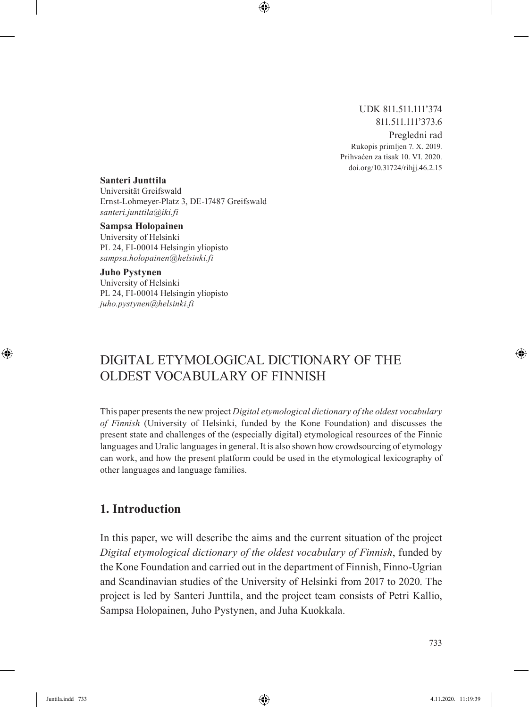#### UDK 811.511.111'374 811.511.111'373.6 Pregledni rad Rukopis primljen 7. X. 2019. Prihvaćen za tisak 10. VI. 2020. doi.org/10.31724/rihjj.46.2.15

#### **Santeri Junttila**

Universität Greifswald Ernst-Lohmeyer-Platz 3, DE-17487 Greifswald *santeri.junttila@iki.fi*

#### **Sampsa Holopainen**

University of Helsinki PL 24, FI-00014 Helsingin yliopisto *sampsa.holopainen@helsinki.fi*

#### **Juho Pystynen**

University of Helsinki PL 24, FI-00014 Helsingin yliopisto *juho.pystynen@helsinki.fi*

# Digital etymological dictionary of the oldest vocabulary of Finnish

This paper presents the new project *Digital etymological dictionary of the oldest vocabulary of Finnish* (University of Helsinki, funded by the Kone Foundation) and discusses the present state and challenges of the (especially digital) etymological resources of the Finnic languages and Uralic languages in general. It is also shown how crowdsourcing of etymology can work, and how the present platform could be used in the etymological lexicography of other languages and language families.

### **1. Introduction**

In this paper, we will describe the aims and the current situation of the project *Digital etymological dictionary of the oldest vocabulary of Finnish*, funded by the Kone Foundation and carried out in the department of Finnish, Finno-Ugrian and Scandinavian studies of the University of Helsinki from 2017 to 2020. The project is led by Santeri Junttila, and the project team consists of Petri Kallio, Sampsa Holopainen, Juho Pystynen, and Juha Kuokkala.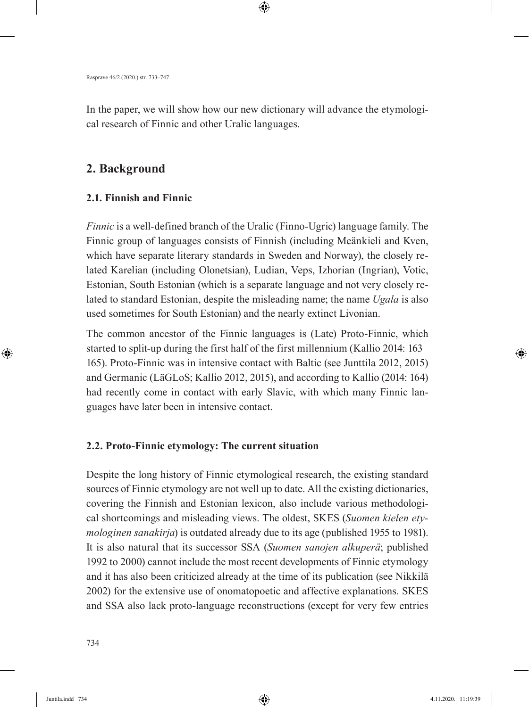In the paper, we will show how our new dictionary will advance the etymological research of Finnic and other Uralic languages.

### **2. Background**

### **2.1. Finnish and Finnic**

*Finnic* is a well-defined branch of the Uralic (Finno-Ugric) language family. The Finnic group of languages consists of Finnish (including Meänkieli and Kven, which have separate literary standards in Sweden and Norway), the closely related Karelian (including Olonetsian), Ludian, Veps, Izhorian (Ingrian), Votic, Estonian, South Estonian (which is a separate language and not very closely related to standard Estonian, despite the misleading name; the name *Ugala* is also used sometimes for South Estonian) and the nearly extinct Livonian.

The common ancestor of the Finnic languages is (Late) Proto-Finnic, which started to split-up during the first half of the first millennium (Kallio 2014: 163– 165). Proto-Finnic was in intensive contact with Baltic (see Junttila 2012, 2015) and Germanic (LäGLoS; Kallio 2012, 2015), and according to Kallio (2014: 164) had recently come in contact with early Slavic, with which many Finnic languages have later been in intensive contact.

### **2.2. Proto-Finnic etymology: The current situation**

Despite the long history of Finnic etymological research, the existing standard sources of Finnic etymology are not well up to date. All the existing dictionaries, covering the Finnish and Estonian lexicon, also include various methodological shortcomings and misleading views. The oldest, SKES (*Suomen kielen etymologinen sanakirja*) is outdated already due to its age (published 1955 to 1981). It is also natural that its successor SSA (*Suomen sanojen alkuperä*; published 1992 to 2000) cannot include the most recent developments of Finnic etymology and it has also been criticized already at the time of its publication (see Nikkilä 2002) for the extensive use of onomatopoetic and affective explanations. SKES and SSA also lack proto-language reconstructions (except for very few entries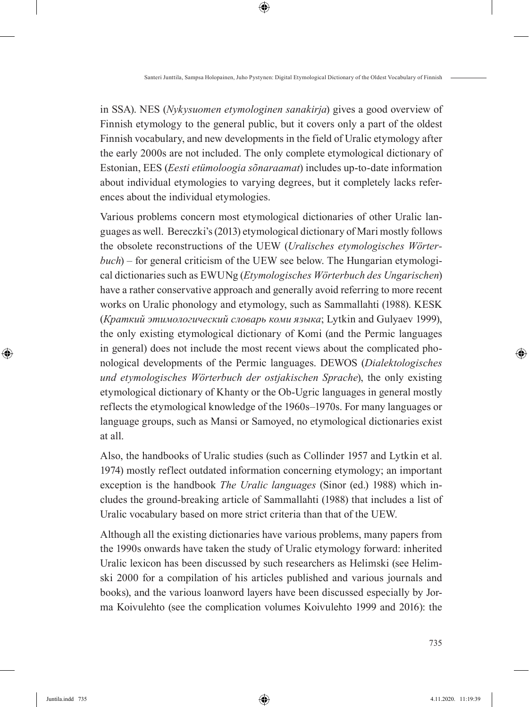in SSA). NES (*Nykysuomen etymologinen sanakirja*) gives a good overview of Finnish etymology to the general public, but it covers only a part of the oldest Finnish vocabulary, and new developments in the field of Uralic etymology after the early 2000s are not included. The only complete etymological dictionary of Estonian, EES (*Eesti etümoloogia sõnaraamat*) includes up-to-date information about individual etymologies to varying degrees, but it completely lacks references about the individual etymologies.

Various problems concern most etymological dictionaries of other Uralic languages as well. Bereczki's (2013) etymological dictionary of Mari mostly follows the obsolete reconstructions of the UEW (*Uralisches etymologisches Wörterbuch*) – for general criticism of the UEW see below. The Hungarian etymological dictionaries such as EWUNg (*Etymologisches Wörterbuch des Ungarischen*) have a rather conservative approach and generally avoid referring to more recent works on Uralic phonology and etymology, such as Sammallahti (1988). KESK (*Краткий этимологический словарь коми языка*; Lytkin and Gulyaev 1999), the only existing etymological dictionary of Komi (and the Permic languages in general) does not include the most recent views about the complicated phonological developments of the Permic languages. DEWOS (*Dialektologisches und etymologisches Wörterbuch der ostjakischen Sprache*), the only existing etymological dictionary of Khanty or the Ob-Ugric languages in general mostly reflects the etymological knowledge of the 1960s–1970s. For many languages or language groups, such as Mansi or Samoyed, no etymological dictionaries exist at all.

Also, the handbooks of Uralic studies (such as Collinder 1957 and Lytkin et al. 1974) mostly reflect outdated information concerning etymology; an important exception is the handbook *The Uralic languages* (Sinor (ed.) 1988) which includes the ground-breaking article of Sammallahti (1988) that includes a list of Uralic vocabulary based on more strict criteria than that of the UEW.

Although all the existing dictionaries have various problems, many papers from the 1990s onwards have taken the study of Uralic etymology forward: inherited Uralic lexicon has been discussed by such researchers as Helimski (see Helimski 2000 for a compilation of his articles published and various journals and books), and the various loanword layers have been discussed especially by Jorma Koivulehto (see the complication volumes Koivulehto 1999 and 2016): the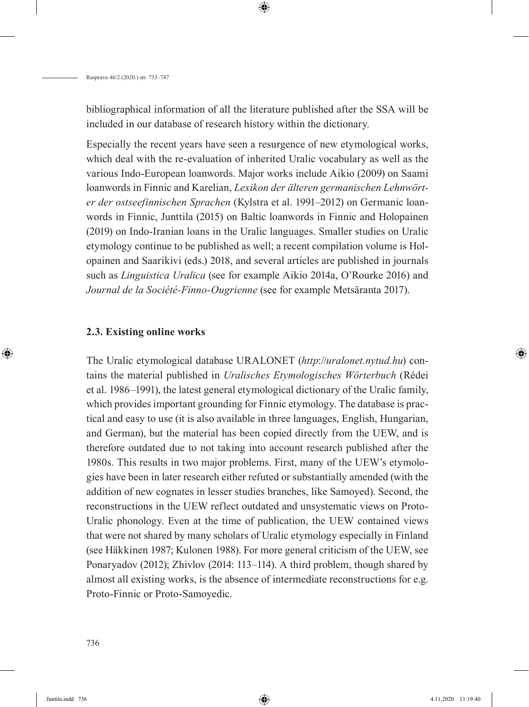bibliographical information of all the literature published after the SSA will be included in our database of research history within the dictionary.

Especially the recent years have seen a resurgence of new etymological works, which deal with the re-evaluation of inherited Uralic vocabulary as well as the various Indo-European loanwords. Major works include Aikio (2009) on Saami loanwords in Finnic and Karelian, *Lexikon der älteren germanischen Lehnwörter der ostseefinnischen Sprachen* (Kylstra et al. 1991–2012) on Germanic loanwords in Finnic, Junttila (2015) on Baltic loanwords in Finnic and Holopainen (2019) on Indo-Iranian loans in the Uralic languages. Smaller studies on Uralic etymology continue to be published as well; a recent compilation volume is Holopainen and Saarikivi (eds.) 2018, and several articles are published in journals such as *Linguistica Uralica* (see for example Aikio 2014a, O'Rourke 2016) and *Journal de la Société-Finno-Ougrienne* (see for example Metsäranta 2017).

#### **2.3. Existing online works**

The Uralic etymological database URALONET (*http*://*uralonet.nytud.hu*) contains the material published in *Uralisches Etymologisches Wörterbuch* (Rédei et al. 1986–1991), the latest general etymological dictionary of the Uralic family, which provides important grounding for Finnic etymology. The database is practical and easy to use (it is also available in three languages, English, Hungarian, and German), but the material has been copied directly from the UEW, and is therefore outdated due to not taking into account research published after the 1980s. This results in two major problems. First, many of the UEW's etymologies have been in later research either refuted or substantially amended (with the addition of new cognates in lesser studies branches, like Samoyed). Second, the reconstructions in the UEW reflect outdated and unsystematic views on Proto-Uralic phonology. Even at the time of publication, the UEW contained views that were not shared by many scholars of Uralic etymology especially in Finland (see Häkkinen 1987; Kulonen 1988). For more general criticism of the UEW, see Ponaryadov (2012); Zhivlov (2014: 113–114). A third problem, though shared by almost all existing works, is the absence of intermediate reconstructions for e.g. Proto-Finnic or Proto-Samoyedic.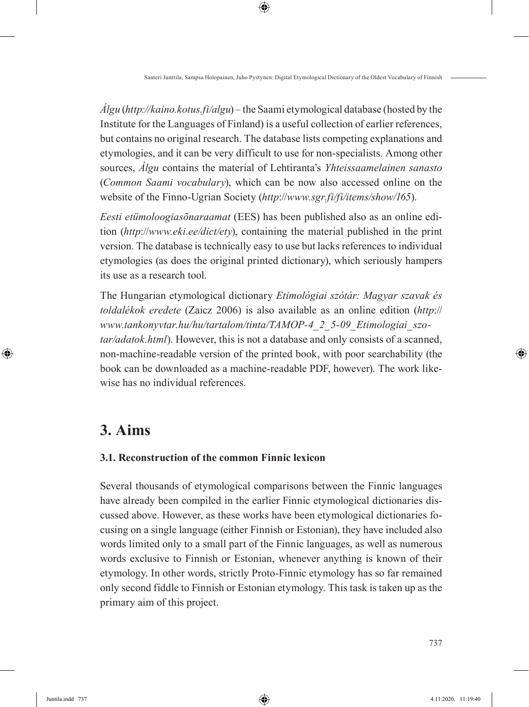*Álgu* (*http://kaino.kotus.fi/algu*) – the Saami etymological database (hosted by the Institute for the Languages of Finland) is a useful collection of earlier references, but contains no original research. The database lists competing explanations and etymologies, and it can be very difficult to use for non-specialists. Among other sources, *Álgu* contains the material of Lehtiranta's *Yhteissaamelainen sanasto* (*Common Saami vocabulary*), which can be now also accessed online on the website of the Finno-Ugrian Society (*http*://*www.sgr.fi/fi/items/show/165*).

*Eesti etümoloogiasõnaraamat* (EES) has been published also as an online edition (*http*://*www.eki.ee/dict/ety*), containing the material published in the print version. The database is technically easy to use but lacks references to individual etymologies (as does the original printed dictionary), which seriously hampers its use as a research tool.

The Hungarian etymological dictionary *Etimológiai szótár: Magyar szavak és toldalékok eredete* (Zaicz 2006) is also available as an online edition (*http*:// *www.tankonyvtar.hu/hu/tartalom/tinta/TAMOP-4\_2\_5-09\_Etimologiai\_szotar/adatok.html*). However, this is not a database and only consists of a scanned, non-machine-readable version of the printed book, with poor searchability (the book can be downloaded as a machine-readable PDF, however). The work likewise has no individual references.

# **3. Aims**

### **3.1. Reconstruction of the common Finnic lexicon**

Several thousands of etymological comparisons between the Finnic languages have already been compiled in the earlier Finnic etymological dictionaries discussed above. However, as these works have been etymological dictionaries focusing on a single language (either Finnish or Estonian), they have included also words limited only to a small part of the Finnic languages, as well as numerous words exclusive to Finnish or Estonian, whenever anything is known of their etymology. In other words, strictly Proto-Finnic etymology has so far remained only second fiddle to Finnish or Estonian etymology. This task is taken up as the primary aim of this project.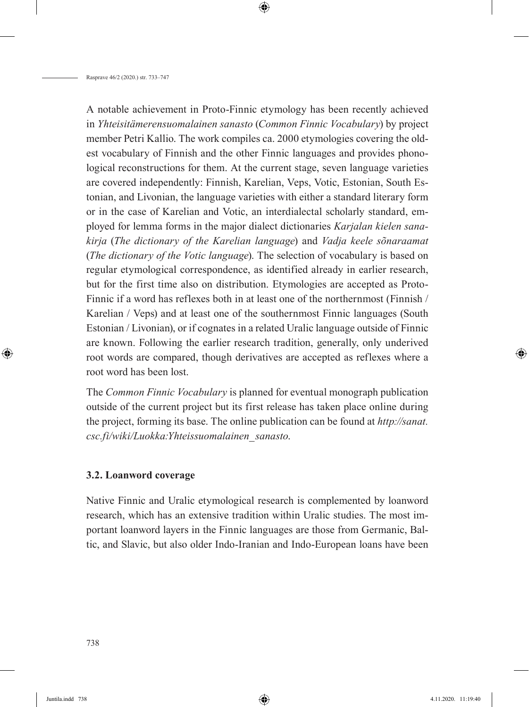A notable achievement in Proto-Finnic etymology has been recently achieved in *Yhteisitämerensuomalainen sanasto* (*Common Finnic Vocabulary*) by project member Petri Kallio. The work compiles ca. 2000 etymologies covering the oldest vocabulary of Finnish and the other Finnic languages and provides phonological reconstructions for them. At the current stage, seven language varieties are covered independently: Finnish, Karelian, Veps, Votic, Estonian, South Estonian, and Livonian, the language varieties with either a standard literary form or in the case of Karelian and Votic, an interdialectal scholarly standard, employed for lemma forms in the major dialect dictionaries *Karjalan kielen sanakirja* (*The dictionary of the Karelian language*) and *Vadja keele sõnaraamat*  (*The dictionary of the Votic language*). The selection of vocabulary is based on regular etymological correspondence, as identified already in earlier research, but for the first time also on distribution. Etymologies are accepted as Proto-Finnic if a word has reflexes both in at least one of the northernmost (Finnish / Karelian / Veps) and at least one of the southernmost Finnic languages (South Estonian / Livonian), or if cognates in a related Uralic language outside of Finnic are known. Following the earlier research tradition, generally, only underived root words are compared, though derivatives are accepted as reflexes where a root word has been lost.

The *Common Finnic Vocabulary* is planned for eventual monograph publication outside of the current project but its first release has taken place online during the project, forming its base. The online publication can be found at *http://sanat. csc.fi/wiki/Luokka:Yhteissuomalainen\_sanasto*.

#### **3.2. Loanword coverage**

Native Finnic and Uralic etymological research is complemented by loanword research, which has an extensive tradition within Uralic studies. The most important loanword layers in the Finnic languages are those from Germanic, Baltic, and Slavic, but also older Indo-Iranian and Indo-European loans have been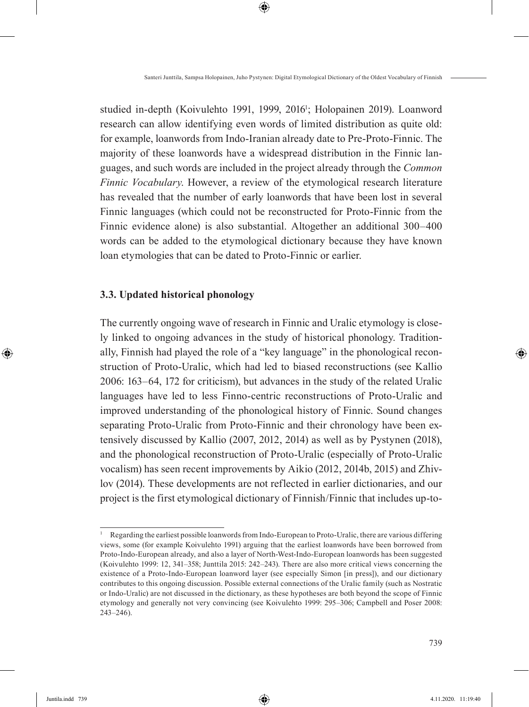studied in-depth (Koivulehto 1991, 1999, 2016<sup>1</sup>; Holopainen 2019). Loanword research can allow identifying even words of limited distribution as quite old: for example, loanwords from Indo-Iranian already date to Pre-Proto-Finnic. The majority of these loanwords have a widespread distribution in the Finnic languages, and such words are included in the project already through the *Common Finnic Vocabulary*. However, a review of the etymological research literature has revealed that the number of early loanwords that have been lost in several Finnic languages (which could not be reconstructed for Proto-Finnic from the Finnic evidence alone) is also substantial. Altogether an additional 300–400 words can be added to the etymological dictionary because they have known loan etymologies that can be dated to Proto-Finnic or earlier.

#### **3.3. Updated historical phonology**

The currently ongoing wave of research in Finnic and Uralic etymology is closely linked to ongoing advances in the study of historical phonology. Traditionally, Finnish had played the role of a "key language" in the phonological reconstruction of Proto-Uralic, which had led to biased reconstructions (see Kallio 2006: 163–64, 172 for criticism), but advances in the study of the related Uralic languages have led to less Finno-centric reconstructions of Proto-Uralic and improved understanding of the phonological history of Finnic. Sound changes separating Proto-Uralic from Proto-Finnic and their chronology have been extensively discussed by Kallio (2007, 2012, 2014) as well as by Pystynen (2018), and the phonological reconstruction of Proto-Uralic (especially of Proto-Uralic vocalism) has seen recent improvements by Aikio (2012, 2014b, 2015) and Zhivlov (2014). These developments are not reflected in earlier dictionaries, and our project is the first etymological dictionary of Finnish/Finnic that includes up-to-

<sup>1</sup> Regarding the earliest possible loanwords from Indo-European to Proto-Uralic, there are various differing views, some (for example Koivulehto 1991) arguing that the earliest loanwords have been borrowed from Proto-Indo-European already, and also a layer of North-West-Indo-European loanwords has been suggested (Koivulehto 1999: 12, 341–358; Junttila 2015: 242–243). There are also more critical views concerning the existence of a Proto-Indo-European loanword layer (see especially Simon [in press]), and our dictionary contributes to this ongoing discussion. Possible external connections of the Uralic family (such as Nostratic or Indo-Uralic) are not discussed in the dictionary, as these hypotheses are both beyond the scope of Finnic etymology and generally not very convincing (see Koivulehto 1999: 295–306; Campbell and Poser 2008: 243–246).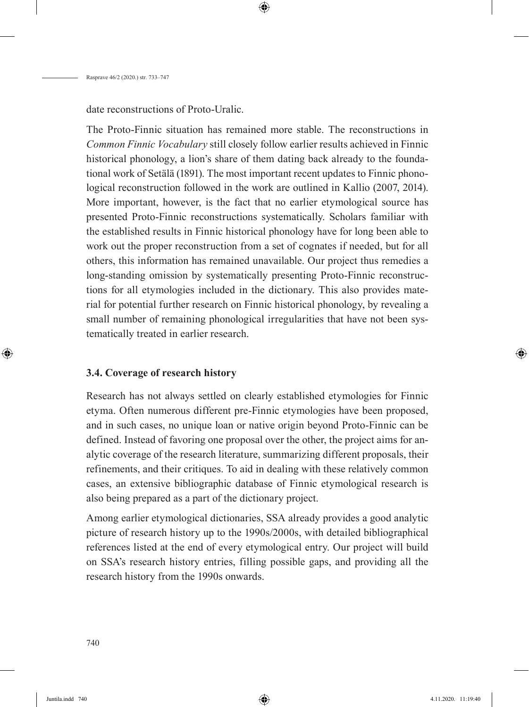date reconstructions of Proto-Uralic.

The Proto-Finnic situation has remained more stable. The reconstructions in *Common Finnic Vocabulary* still closely follow earlier results achieved in Finnic historical phonology, a lion's share of them dating back already to the foundational work of Setälä (1891). The most important recent updates to Finnic phonological reconstruction followed in the work are outlined in Kallio (2007, 2014). More important, however, is the fact that no earlier etymological source has presented Proto-Finnic reconstructions systematically. Scholars familiar with the established results in Finnic historical phonology have for long been able to work out the proper reconstruction from a set of cognates if needed, but for all others, this information has remained unavailable. Our project thus remedies a long-standing omission by systematically presenting Proto-Finnic reconstructions for all etymologies included in the dictionary. This also provides material for potential further research on Finnic historical phonology, by revealing a small number of remaining phonological irregularities that have not been systematically treated in earlier research.

#### **3.4. Coverage of research history**

Research has not always settled on clearly established etymologies for Finnic etyma. Often numerous different pre-Finnic etymologies have been proposed, and in such cases, no unique loan or native origin beyond Proto-Finnic can be defined. Instead of favoring one proposal over the other, the project aims for analytic coverage of the research literature, summarizing different proposals, their refinements, and their critiques. To aid in dealing with these relatively common cases, an extensive bibliographic database of Finnic etymological research is also being prepared as a part of the dictionary project.

Among earlier etymological dictionaries, SSA already provides a good analytic picture of research history up to the 1990s/2000s, with detailed bibliographical references listed at the end of every etymological entry. Our project will build on SSA's research history entries, filling possible gaps, and providing all the research history from the 1990s onwards.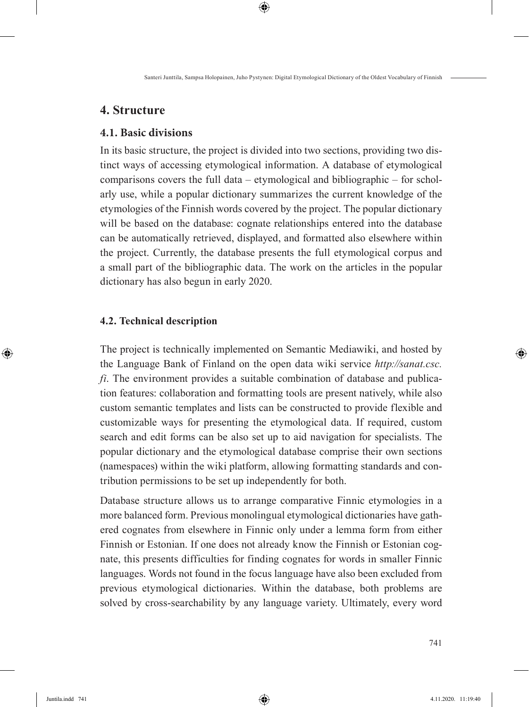### **4. Structure**

### **4.1. Basic divisions**

In its basic structure, the project is divided into two sections, providing two distinct ways of accessing etymological information. A database of etymological comparisons covers the full data – etymological and bibliographic – for scholarly use, while a popular dictionary summarizes the current knowledge of the etymologies of the Finnish words covered by the project. The popular dictionary will be based on the database: cognate relationships entered into the database can be automatically retrieved, displayed, and formatted also elsewhere within the project. Currently, the database presents the full etymological corpus and a small part of the bibliographic data. The work on the articles in the popular dictionary has also begun in early 2020.

#### **4.2. Technical description**

The project is technically implemented on Semantic Mediawiki, and hosted by the Language Bank of Finland on the open data wiki service *http://sanat.csc. fi*. The environment provides a suitable combination of database and publication features: collaboration and formatting tools are present natively, while also custom semantic templates and lists can be constructed to provide flexible and customizable ways for presenting the etymological data. If required, custom search and edit forms can be also set up to aid navigation for specialists. The popular dictionary and the etymological database comprise their own sections (namespaces) within the wiki platform, allowing formatting standards and contribution permissions to be set up independently for both.

Database structure allows us to arrange comparative Finnic etymologies in a more balanced form. Previous monolingual etymological dictionaries have gathered cognates from elsewhere in Finnic only under a lemma form from either Finnish or Estonian. If one does not already know the Finnish or Estonian cognate, this presents difficulties for finding cognates for words in smaller Finnic languages. Words not found in the focus language have also been excluded from previous etymological dictionaries. Within the database, both problems are solved by cross-searchability by any language variety. Ultimately, every word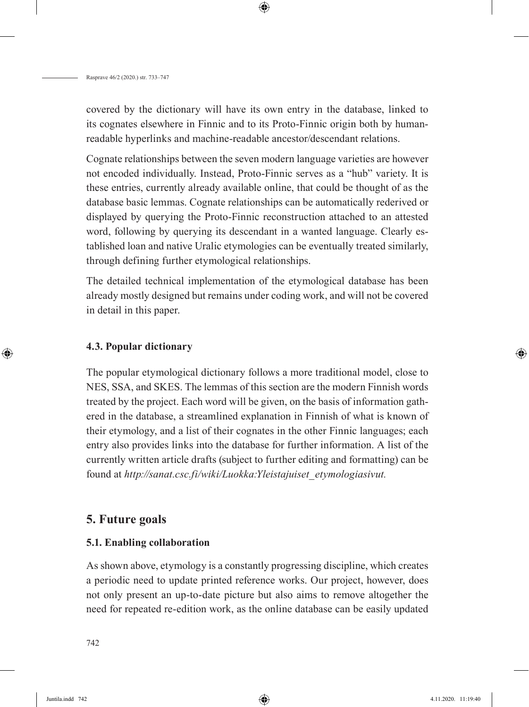covered by the dictionary will have its own entry in the database, linked to its cognates elsewhere in Finnic and to its Proto-Finnic origin both by humanreadable hyperlinks and machine-readable ancestor/descendant relations.

Cognate relationships between the seven modern language varieties are however not encoded individually. Instead, Proto-Finnic serves as a "hub" variety. It is these entries, currently already available online, that could be thought of as the database basic lemmas. Cognate relationships can be automatically rederived or displayed by querying the Proto-Finnic reconstruction attached to an attested word, following by querying its descendant in a wanted language. Clearly established loan and native Uralic etymologies can be eventually treated similarly, through defining further etymological relationships.

The detailed technical implementation of the etymological database has been already mostly designed but remains under coding work, and will not be covered in detail in this paper.

#### **4.3. Popular dictionary**

The popular etymological dictionary follows a more traditional model, close to NES, SSA, and SKES. The lemmas of this section are the modern Finnish words treated by the project. Each word will be given, on the basis of information gathered in the database, a streamlined explanation in Finnish of what is known of their etymology, and a list of their cognates in the other Finnic languages; each entry also provides links into the database for further information. A list of the currently written article drafts (subject to further editing and formatting) can be found at *http://sanat.csc.fi/wiki/Luokka:Yleistajuiset\_etymologiasivut.*

### **5. Future goals**

#### **5.1. Enabling collaboration**

As shown above, etymology is a constantly progressing discipline, which creates a periodic need to update printed reference works. Our project, however, does not only present an up-to-date picture but also aims to remove altogether the need for repeated re-edition work, as the online database can be easily updated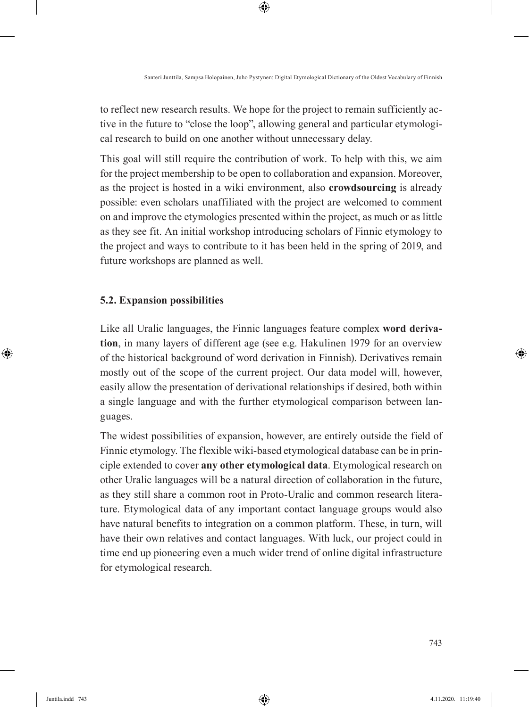to reflect new research results. We hope for the project to remain sufficiently active in the future to "close the loop", allowing general and particular etymological research to build on one another without unnecessary delay.

This goal will still require the contribution of work. To help with this, we aim for the project membership to be open to collaboration and expansion. Moreover, as the project is hosted in a wiki environment, also **crowdsourcing** is already possible: even scholars unaffiliated with the project are welcomed to comment on and improve the etymologies presented within the project, as much or as little as they see fit. An initial workshop introducing scholars of Finnic etymology to the project and ways to contribute to it has been held in the spring of 2019, and future workshops are planned as well.

#### **5.2. Expansion possibilities**

Like all Uralic languages, the Finnic languages feature complex **word derivation**, in many layers of different age (see e.g. Hakulinen 1979 for an overview of the historical background of word derivation in Finnish). Derivatives remain mostly out of the scope of the current project. Our data model will, however, easily allow the presentation of derivational relationships if desired, both within a single language and with the further etymological comparison between languages.

The widest possibilities of expansion, however, are entirely outside the field of Finnic etymology. The flexible wiki-based etymological database can be in principle extended to cover **any other etymological data**. Etymological research on other Uralic languages will be a natural direction of collaboration in the future, as they still share a common root in Proto-Uralic and common research literature. Etymological data of any important contact language groups would also have natural benefits to integration on a common platform. These, in turn, will have their own relatives and contact languages. With luck, our project could in time end up pioneering even a much wider trend of online digital infrastructure for etymological research.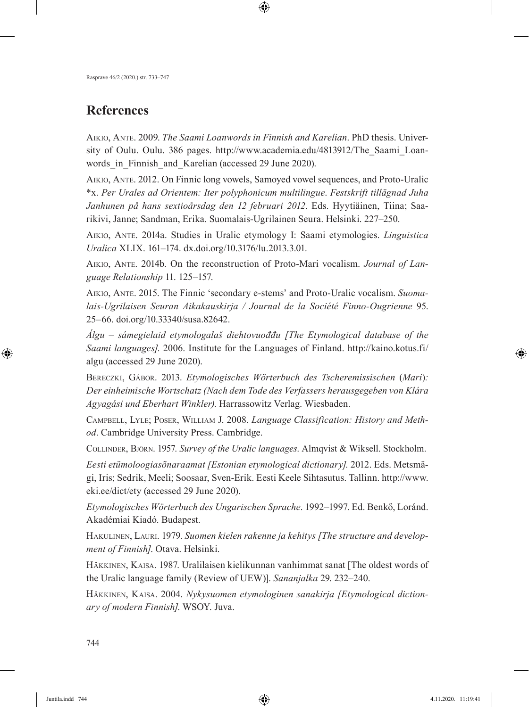# **References**

Aikio, Ante. 2009. *The Saami Loanwords in Finnish and Karelian*. PhD thesis. University of Oulu. Oulu. 386 pages. http://www.academia.edu/4813912/The\_Saami\_Loanwords in Finnish and Karelian (accessed 29 June 2020).

Aikio, Ante. 2012. On Finnic long vowels, Samoyed vowel sequences, and Proto-Uralic \*x. *Per Urales ad Orientem: Iter polyphonicum multilingue*. *Festskrift tillägnad Juha Janhunen på hans sextioårsdag den 12 februari 2012*. Eds. Hyytiäinen, Tiina; Saarikivi, Janne; Sandman, Erika. Suomalais-Ugrilainen Seura. Helsinki. 227–250.

Aikio, Ante. 2014a. Studies in Uralic etymology I: Saami etymologies. *Linguistica Uralica* XLIX. 161–174. dx.doi.org/10.3176/lu.2013.3.01.

Aikio, Ante. 2014b. On the reconstruction of Proto-Mari vocalism. *Journal of Language Relationship* 11. 125–157.

Aikio, Ante. 2015. The Finnic 'secondary e-stems' and Proto-Uralic vocalism. *Suomalais-Ugrilaisen Seuran Aikakauskirja / Journal de la Société Finno-Ougrienne* 95. 25–66. doi.org/10.33340/susa.82642.

*Álgu – sámegielaid etymologalaš diehtovuođđu [The Etymological database of the Saami languages]*. 2006. Institute for the Languages of Finland. http://kaino.kotus.fi/ algu (accessed 29 June 2020).

Bereczki, Gábor. 2013. *Etymologisches Wörterbuch des Tscheremissischen* (*Mari*)*: Der einheimische Wortschatz (Nach dem Tode des Verfassers herausgegeben von Klára Agyagási und Eberhart Winkler)*. Harrassowitz Verlag. Wiesbaden.

Campbell, Lyle; Poser, William J. 2008. *Language Classification: History and Method*. Cambridge University Press. Cambridge.

Collinder, Björn. 1957. *Survey of the Uralic languages*. Almqvist & Wiksell. Stockholm.

*Eesti etümoloogiasõnaraamat [Estonian etymological dictionary].* 2012. Eds. Metsmägi, Iris; Sedrik, Meeli; Soosaar, Sven-Erik. Eesti Keele Sihtasutus. Tallinn. http://www. eki.ee/dict/ety (accessed 29 June 2020).

*Etymologisches Wörterbuch des Ungarischen Sprache*. 1992–1997. Ed. Benkő, Loránd. Akadémiai Kiadó. Budapest.

Hakulinen, Lauri. 1979. *Suomen kielen rakenne ja kehitys [The structure and development of Finnish]*. Otava. Helsinki.

Häkkinen, Kaisa. 1987. Uralilaisen kielikunnan vanhimmat sanat [The oldest words of the Uralic language family (Review of UEW)]. *Sananjalka* 29. 232–240.

Häkkinen, Kaisa. 2004. *Nykysuomen etymologinen sanakirja [Etymological dictionary of modern Finnish]*. WSOY. Juva.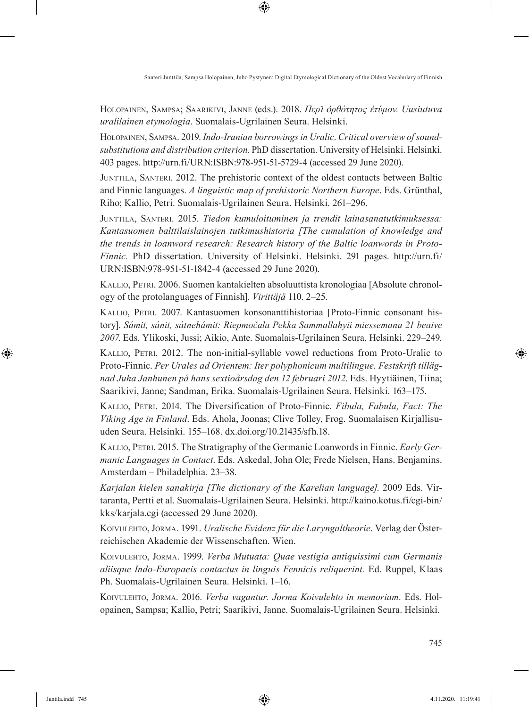Holopainen, Sampsa; Saarikivi, Janne (eds.). 2018. *Περὶ ὀρθότητος ἐτύμον. Uusiutuva uralilainen etymologia*. Suomalais-Ugrilainen Seura. Helsinki.

Holopainen, Sampsa. 2019. *Indo-Iranian borrowings in Uralic*. *Critical overview of soundsubstitutions and distribution criterion*. PhD dissertation. University of Helsinki. Helsinki. 403 pages. http://urn.fi/URN:ISBN:978-951-51-5729-4 (accessed 29 June 2020).

Junttila, Santeri. 2012. The prehistoric context of the oldest contacts between Baltic and Finnic languages. *A linguistic map of prehistoric Northern Europe*. Eds. Grünthal, Riho; Kallio, Petri. Suomalais-Ugrilainen Seura. Helsinki. 261–296.

Junttila, Santeri. 2015. *Tiedon kumuloituminen ja trendit lainasanatutkimuksessa: Kantasuomen balttilaislainojen tutkimushistoria [The cumulation of knowledge and the trends in loanword research: Research history of the Baltic loanwords in Proto-Finnic.* PhD dissertation. University of Helsinki. Helsinki. 291 pages. http://urn.fi/ URN:ISBN:978-951-51-1842-4 (accessed 29 June 2020).

Kallio, Petri. 2006. Suomen kantakielten absoluuttista kronologiaa [Absolute chronology of the protolanguages of Finnish]. *Virittäjä* 110. 2–25.

Kallio, Petri. 2007. Kantasuomen konsonanttihistoriaa [Proto-Finnic consonant history]. *Sámit, sánit, sátnehámit: Riepmočala Pekka Sammallahyii miessemanu 21 beaive 2007*. Eds. Ylikoski, Jussi; Aikio, Ante. Suomalais-Ugrilainen Seura. Helsinki. 229–249.

Kallio, Petri. 2012. The non-initial-syllable vowel reductions from Proto-Uralic to Proto-Finnic. *Per Urales ad Orientem: Iter polyphonicum multilingue. Festskrift tillägnad Juha Janhunen på hans sextioårsdag den 12 februari 2012*. Eds. Hyytiäinen, Tiina; Saarikivi, Janne; Sandman, Erika. Suomalais-Ugrilainen Seura. Helsinki. 163–175.

Kallio, Petri. 2014. The Diversification of Proto-Finnic. *Fibula, Fabula, Fact: The Viking Age in Finland*. Eds. Ahola, Joonas; Clive Tolley, Frog. Suomalaisen Kirjallisuuden Seura. Helsinki. 155–168. dx.doi.org/10.21435/sfh.18.

Kallio, Petri. 2015. The Stratigraphy of the Germanic Loanwords in Finnic. *Early Germanic Languages in Contact*. Eds. Askedal, John Ole; Frede Nielsen, Hans. Benjamins. Amsterdam – Philadelphia. 23–38.

*Karjalan kielen sanakirja [The dictionary of the Karelian language]*. 2009 Eds. Virtaranta, Pertti et al. Suomalais-Ugrilainen Seura. Helsinki. http://kaino.kotus.fi/cgi-bin/ kks/karjala.cgi (accessed 29 June 2020).

Koivulehto, Jorma. 1991. *Uralische Evidenz für die Laryngaltheorie*. Verlag der Österreichischen Akademie der Wissenschaften. Wien.

Koivulehto, Jorma. 1999. *Verba Mutuata: Quae vestigia antiquissimi cum Germanis aliisque Indo-Europaeis contactus in linguis Fennicis reliquerint.* Ed. Ruppel, Klaas Ph. Suomalais-Ugrilainen Seura. Helsinki. 1–16.

Koivulehto, Jorma. 2016. *Verba vagantur. Jorma Koivulehto in memoriam*. Eds. Holopainen, Sampsa; Kallio, Petri; Saarikivi, Janne. Suomalais-Ugrilainen Seura. Helsinki.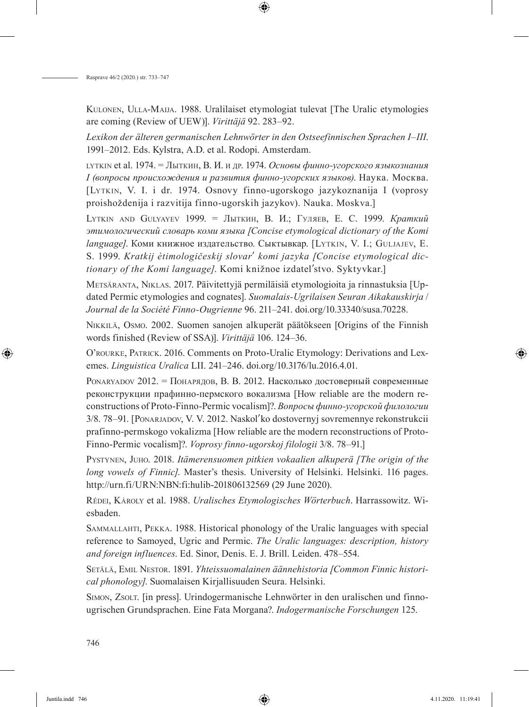Kulonen, Ulla-Maija. 1988. Uralilaiset etymologiat tulevat [The Uralic etymologies are coming (Review of UEW)]. *Virittäjä* 92. 283–92.

*Lexikon der älteren germanischen Lehnwörter in den Ostseefinnischen Sprachen I–III*. 1991–2012. Eds. Kylstra, A.D. et al. Rodopi. Amsterdam.

lytkin et al. 1974. = Лыткин, В. И. и др. 1974. *Основы финно-угорского языкознания I (вопросы происхождения и развития финно-угорских языков)*. Наука. Москва. [Lytkin, V. I. i dr. 1974. Osnovy finno-ugorskogo jazykoznanija I (voprosy proishoždenija i razvitija finno-ugorskih jazykov). Nauka. Moskva.]

Lytkin and Gulyayev 1999. = Лыткин, В. И.; Гуляев, Е. С. 1999. *Краткий этимологический словарь коми языка [Concise etymological dictionary of the Komi language]*. Коми книжное издательство. Сыктывкар. [Lytkin, V. I.; Guljajev, E. S. 1999. *Kratkij ètimologičeskij slovarʹ komi jazyka [Concise etymological dictionary of the Komi language]*. Komi knižnoe izdatelʹstvo. Syktyvkar.]

Metsäranta, Niklas. 2017. Päivitettyjä permiläisiä etymologioita ja rinnastuksia [Updated Permic etymologies and cognates]. *Suomalais-Ugrilaisen Seuran Aikakauskirja* / *Journal de la Société Finno-Ougrienne* 96. 211–241. doi.org/10.33340/susa.70228.

Nikkilä, Osmo. 2002. Suomen sanojen alkuperät päätökseen [Origins of the Finnish words finished (Review of SSA)]. *Virittäjä* 106. 124–36.

O'rourke, Patrick. 2016. Comments on Proto-Uralic Etymology: Derivations and Lexemes. *Linguistica Uralica* LII. 241–246. doi.org/10.3176/lu.2016.4.01.

Ponaryadov 2012. = Понарядов, В. В. 2012. Насколько достоверный современные реконструкции прафинно-пермского вокализма [How reliable are the modern reconstructions of Proto-Finno-Permic vocalism]?. *Вопросы финно-угорской филологии* 3/8. 78–91. [Ponarjadov, V. V. 2012. Naskolʹko dostovernyj sovremennye rekonstrukcii prafinno-permskogo vokalizma [How reliable are the modern reconstructions of Proto-Finno-Permic vocalism]?. *Voprosy finno-ugorskoj filologii* 3/8. 78–91.]

Pystynen, Juho. 2018. *Itämerensuomen pitkien vokaalien alkuperä [The origin of the long vowels of Finnic]*. Master's thesis. University of Helsinki. Helsinki. 116 pages. http://urn.fi/URN:NBN:fi:hulib-201806132569 (29 June 2020).

Rédei, Károly et al. 1988. *Uralisches Etymologisches Wörterbuch*. Harrassowitz. Wiesbaden.

Sammallahti, Pekka. 1988. Historical phonology of the Uralic languages with special reference to Samoyed, Ugric and Permic. *The Uralic languages: description, history and foreign influences*. Ed. Sinor, Denis. E. J. Brill. Leiden. 478–554.

Setälä, Emil Nestor. 1891. *Yhteissuomalainen äännehistoria [Common Finnic historical phonology]*. Suomalaisen Kirjallisuuden Seura. Helsinki.

Simon, Zsolt. [in press]. Urindogermanische Lehnwörter in den uralischen und finnougrischen Grundsprachen. Eine Fata Morgana?. *Indogermanische Forschungen* 125.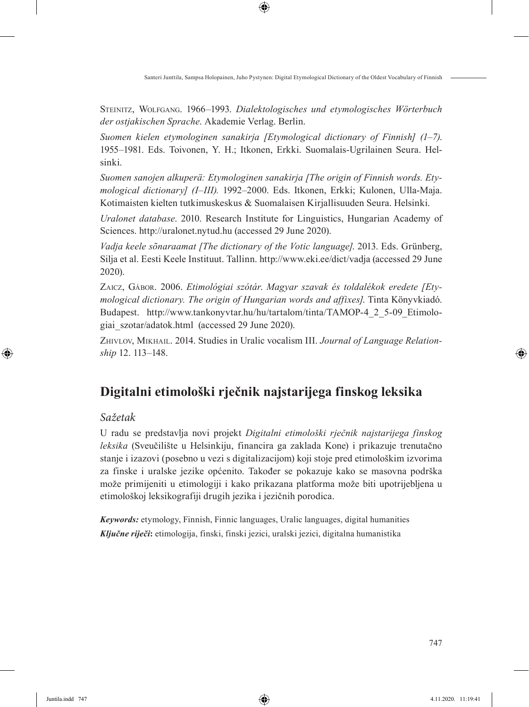Steinitz, Wolfgang. 1966–1993. *Dialektologisches und etymologisches Wörterbuch der ostjakischen Sprache*. Akademie Verlag. Berlin.

*Suomen kielen etymologinen sanakirja [Etymological dictionary of Finnish] (1–7)*. 1955–1981. Eds. Toivonen, Y. H.; Itkonen, Erkki. Suomalais-Ugrilainen Seura. Helsinki.

*Suomen sanojen alkuperä: Etymologinen sanakirja [The origin of Finnish words. Etymological dictionary] (I–III).* 1992–2000. Eds. Itkonen, Erkki; Kulonen, Ulla-Maja. Kotimaisten kielten tutkimuskeskus & Suomalaisen Kirjallisuuden Seura. Helsinki.

*Uralonet database*. 2010. Research Institute for Linguistics, Hungarian Academy of Sciences. http://uralonet.nytud.hu (accessed 29 June 2020).

*Vadja keele sõnaraamat [The dictionary of the Votic language]*. 2013. Eds. Grünberg, Silja et al. Eesti Keele Instituut. Tallinn. http://www.eki.ee/dict/vadja (accessed 29 June 2020).

Zaicz, Gábor. 2006. *Etimológiai szótár*. *Magyar szavak és toldalékok eredete [Etymological dictionary. The origin of Hungarian words and affixes]*. Tinta Könyvkiadó. Budapest. http://www.tankonyvtar.hu/hu/tartalom/tinta/TAMOP-4\_2\_5-09\_Etimologiai\_szotar/adatok.html (accessed 29 June 2020).

Zhivlov, Mikhail. 2014. Studies in Uralic vocalism III. *Journal of Language Relationship* 12. 113–148.

# **Digitalni etimološki rječnik najstarijega finskog leksika**

### *Sažetak*

U radu se predstavlja novi projekt *Digitalni etimološki rječnik najstarijega finskog leksika* (Sveučilište u Helsinkiju, financira ga zaklada Kone) i prikazuje trenutačno stanje i izazovi (posebno u vezi s digitalizacijom) koji stoje pred etimološkim izvorima za finske i uralske jezike općenito. Također se pokazuje kako se masovna podrška može primijeniti u etimologiji i kako prikazana platforma može biti upotrijebljena u etimološkoj leksikografiji drugih jezika i jezičnih porodica.

*Keywords:* etymology, Finnish, Finnic languages, Uralic languages, digital humanities *Ključne riječi***:** etimologija, finski, finski jezici, uralski jezici, digitalna humanistika